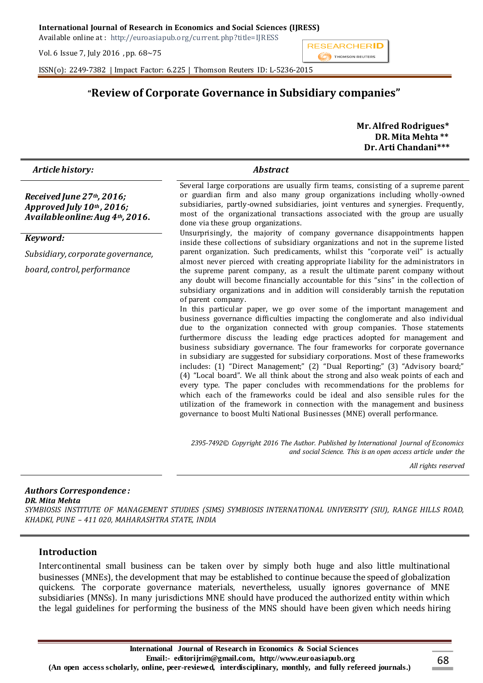Available online at : http://euroasiapub.org/current.php?title=IJRESS

Vol. 6 Issue 7, July 2016 , pp. 68~75



ISSN(o): 2249-7382 | Impact Factor: 6.225 | Thomson Reuters ID: L-5236-2015

# **"Review of Corporate Governance in Subsidiary companies"**

 **Mr. Alfred Rodrigues\* DR. Mita Mehta \*\* Dr. Arti Chandani\*\*\***

| Article history:                                                                              | <b>Abstract</b>                                                                                                                                                                                                                                                                                                                                                                                                                                                                                                                                                                                                                                                                                                                                                                                                                                                                                                                                                                                                                                                                                                                                                                                                                                                                                                                                                                                                                                                                                                                                                                                                                                                                                                                                                                                                                                                                                                                                                                                       |
|-----------------------------------------------------------------------------------------------|-------------------------------------------------------------------------------------------------------------------------------------------------------------------------------------------------------------------------------------------------------------------------------------------------------------------------------------------------------------------------------------------------------------------------------------------------------------------------------------------------------------------------------------------------------------------------------------------------------------------------------------------------------------------------------------------------------------------------------------------------------------------------------------------------------------------------------------------------------------------------------------------------------------------------------------------------------------------------------------------------------------------------------------------------------------------------------------------------------------------------------------------------------------------------------------------------------------------------------------------------------------------------------------------------------------------------------------------------------------------------------------------------------------------------------------------------------------------------------------------------------------------------------------------------------------------------------------------------------------------------------------------------------------------------------------------------------------------------------------------------------------------------------------------------------------------------------------------------------------------------------------------------------------------------------------------------------------------------------------------------------|
| Received June 27th, 2016;<br>Approved July $10th$ , 2016;<br>Available online: Aug 4th, 2016. | Several large corporations are usually firm teams, consisting of a supreme parent<br>or guardian firm and also many group organizations including wholly-owned<br>subsidiaries, partly-owned subsidiaries, joint ventures and synergies. Frequently,<br>most of the organizational transactions associated with the group are usually<br>done via these group organizations.<br>Unsurprisingly, the majority of company governance disappointments happen<br>inside these collections of subsidiary organizations and not in the supreme listed<br>parent organization. Such predicaments, whilst this "corporate veil" is actually<br>almost never pierced with creating appropriate liability for the administrators in<br>the supreme parent company, as a result the ultimate parent company without<br>any doubt will become financially accountable for this "sins" in the collection of<br>subsidiary organizations and in addition will considerably tarnish the reputation<br>of parent company.<br>In this particular paper, we go over some of the important management and<br>business governance difficulties impacting the conglomerate and also individual<br>due to the organization connected with group companies. Those statements<br>furthermore discuss the leading edge practices adopted for management and<br>business subsidiary governance. The four frameworks for corporate governance<br>in subsidiary are suggested for subsidiary corporations. Most of these frameworks<br>includes: (1) "Direct Management;" (2) "Dual Reporting;" (3) "Advisory board;"<br>(4) "Local board". We all think about the strong and also weak points of each and<br>every type. The paper concludes with recommendations for the problems for<br>which each of the frameworks could be ideal and also sensible rules for the<br>utilization of the framework in connection with the management and business<br>governance to boost Multi National Businesses (MNE) overall performance. |
| Keyword:                                                                                      |                                                                                                                                                                                                                                                                                                                                                                                                                                                                                                                                                                                                                                                                                                                                                                                                                                                                                                                                                                                                                                                                                                                                                                                                                                                                                                                                                                                                                                                                                                                                                                                                                                                                                                                                                                                                                                                                                                                                                                                                       |
| Subsidiary, corporate governance,                                                             |                                                                                                                                                                                                                                                                                                                                                                                                                                                                                                                                                                                                                                                                                                                                                                                                                                                                                                                                                                                                                                                                                                                                                                                                                                                                                                                                                                                                                                                                                                                                                                                                                                                                                                                                                                                                                                                                                                                                                                                                       |
| board, control, performance                                                                   |                                                                                                                                                                                                                                                                                                                                                                                                                                                                                                                                                                                                                                                                                                                                                                                                                                                                                                                                                                                                                                                                                                                                                                                                                                                                                                                                                                                                                                                                                                                                                                                                                                                                                                                                                                                                                                                                                                                                                                                                       |
|                                                                                               | 2395-7492© Copyright 2016 The Author. Published by International Journal of Economics<br>and social Science. This is an open access article under the                                                                                                                                                                                                                                                                                                                                                                                                                                                                                                                                                                                                                                                                                                                                                                                                                                                                                                                                                                                                                                                                                                                                                                                                                                                                                                                                                                                                                                                                                                                                                                                                                                                                                                                                                                                                                                                 |
|                                                                                               | All rights reserved                                                                                                                                                                                                                                                                                                                                                                                                                                                                                                                                                                                                                                                                                                                                                                                                                                                                                                                                                                                                                                                                                                                                                                                                                                                                                                                                                                                                                                                                                                                                                                                                                                                                                                                                                                                                                                                                                                                                                                                   |

### *Authors Correspondence :*

*DR. Mita Mehta*

*SYMBIOSIS INSTITUTE OF MANAGEMENT STUDIES (SIMS) SYMBIOSIS INTERNATIONAL UNIVERSITY (SIU), RANGE HILLS ROAD, KHADKI, PUNE – 411 020, MAHARASHTRA STATE, INDIA*

#### **Introduction**

Intercontinental small business can be taken over by simply both huge and also little multinational businesses (MNEs), the development that may be established to continue because the speed of globalization quickens. The corporate governance materials, nevertheless, usually ignores governance of MNE subsidiaries (MNSs). In many jurisdictions MNE should have produced the authorized entity within which the legal guidelines for performing the business of the MNS should have been given which needs hiring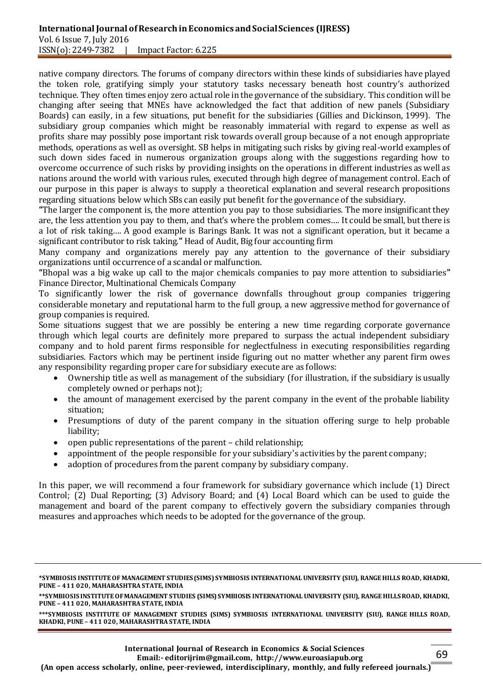#### **International Journal of Research in Economics and Social Sciences (IJRESS)** Vol. 6 Issue 7, July 2016 ISSN(o): 2249-7382 | Impact Factor: 6.225

native company directors. The forums of company directors within these kinds of subsidiaries have played the token role, gratifying simply your statutory tasks necessary beneath host country's authorized technique. They often times enjoy zero actual role in the governance of the subsidiary. This condition will be changing after seeing that MNEs have acknowledged the fact that addition of new panels (Subsidiary Boards) can easily, in a few situations, put benefit for the subsidiaries (Gillies and Dickinson, 1999). The subsidiary group companies which might be reasonably immaterial with regard to expense as well as profits share may possibly pose important risk towards overall group because of a not enough appropriate methods, operations as well as oversight. SB helps in mitigating such risks by giving real-world examples of such down sides faced in numerous organization groups along with the suggestions regarding how to overcome occurrence of such risks by providing insights on the operations in different industries as well as nations around the world with various rules, executed through high degree of management control. Each of our purpose in this paper is always to supply a theoretical explanation and several research propositions regarding situations below which SBs can easily put benefit for the governance of the subsidiary.

**"**The larger the component is, the more attention you pay to those subsidiaries. The more insignificant they are, the less attention you pay to them, and that's where the problem comes…. It could be small, but there is a lot of risk taking…. A good example is Barings Bank. It was not a significant operation, but it became a significant contributor to risk taking.**"** Head of Audit, Big four accounting firm

Many company and organizations merely pay any attention to the governance of their subsidiary organizations until occurrence of a scandal or malfunction.

**"**Bhopal was a big wake up call to the major chemicals companies to pay more attention to subsidiaries**"**  Finance Director, Multinational Chemicals Company

To significantly lower the risk of governance downfalls throughout group companies triggering considerable monetary and reputational harm to the full group, a new aggressive method for governance of group companies is required.

Some situations suggest that we are possibly be entering a new time regarding corporate governance through which legal courts are definitely more prepared to surpass the actual independent subsidiary company and to hold parent firms responsible for neglectfulness in executing responsibilities regarding subsidiaries. Factors which may be pertinent inside figuring out no matter whether any parent firm owes any responsibility regarding proper care for subsidiary execute are as follows:

- Ownership title as well as management of the subsidiary (for illustration, if the subsidiary is usually completely owned or perhaps not);
- the amount of management exercised by the parent company in the event of the probable liability situation;
- Presumptions of duty of the parent company in the situation offering surge to help probable liability;
- open public representations of the parent child relationship;
- appointment of the people responsible for your subsidiary's activities by the parent company;
- adoption of procedures from the parent company by subsidiary company.

In this paper, we will recommend a four framework for subsidiary governance which include (1) Direct Control; (2) Dual Reporting; (3) Advisory Board; and (4) Local Board which can be used to guide the management and board of the parent company to effectively govern the subsidiary companies through measures and approaches which needs to be adopted for the governance of the group.

**\*\*\*SYMBIOSIS INSTITUTE OF MANAGEMENT STUDIES (SIMS) SYMBIOSIS INTERNATIONAL UNIVERSITY (SIU), RANGE HILLS ROAD, KHADKI, PUNE – 411 020, MAHARASHTRA STATE, INDIA**

**<sup>\*</sup>SYMBIOSIS INSTITUTE OF MANAGEMENT STUDIES (SIMS) SYMBIOSIS INTERNATIONAL UNIVERSITY (SIU), RANGE HILLS ROAD, KHADKI, PUNE – 411 020, MAHARASHTRA STATE, INDIA**

**<sup>\*\*</sup>SYMBIOSIS INSTITUTE OF MANAGEMENT STUDIES (SIMS) SYMBIOSIS INTERNATIONAL UNIVERSITY (SIU), RANGE HILLS ROAD, KHADKI, PUNE – 411 020, MAHARASHTRA STATE, INDIA**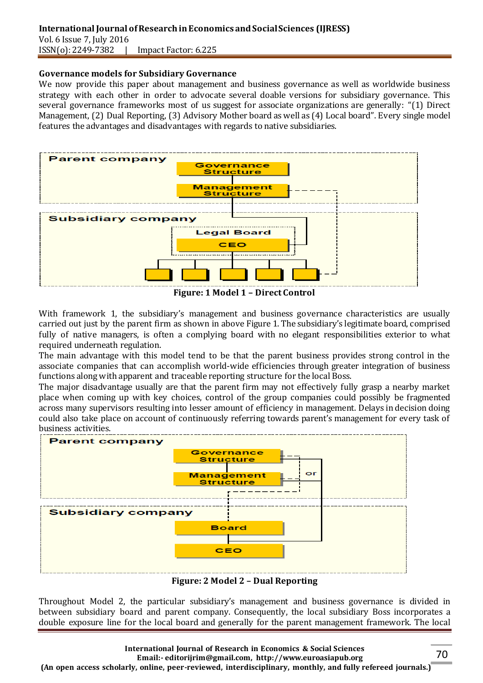### **International Journal of Research in Economics and Social Sciences (IJRESS)** Vol. 6 Issue 7, July 2016 ISSN(o): 2249-7382 | Impact Factor: 6.225

#### **Governance models for Subsidiary Governance**

We now provide this paper about management and business governance as well as worldwide business strategy with each other in order to advocate several doable versions for subsidiary governance. This several governance frameworks most of us suggest for associate organizations are generally: "(1) Direct Management, (2) Dual Reporting, (3) Advisory Mother board as well as (4) Local board". Every single model features the advantages and disadvantages with regards to native subsidiaries.



**Figure: 1 Model 1 – Direct Control**

With framework 1, the subsidiary's management and business governance characteristics are usually carried out just by the parent firm as shown in above Figure 1. The subsidiary's legitimate board, comprised fully of native managers, is often a complying board with no elegant responsibilities exterior to what required underneath regulation.

The main advantage with this model tend to be that the parent business provides strong control in the associate companies that can accomplish world-wide efficiencies through greater integration of business functions along with apparent and traceable reporting structure for the local Boss.

The major disadvantage usually are that the parent firm may not effectively fully grasp a nearby market place when coming up with key choices, control of the group companies could possibly be fragmented across many supervisors resulting into lesser amount of efficiency in management. Delays in decision doing could also take place on account of continuously referring towards parent's management for every task of business activities.



**Figure: 2 Model 2 – Dual Reporting**

Throughout Model 2, the particular subsidiary's management and business governance is divided in between subsidiary board and parent company. Consequently, the local subsidiary Boss incorporates a double exposure line for the local board and generally for the parent management framework. The local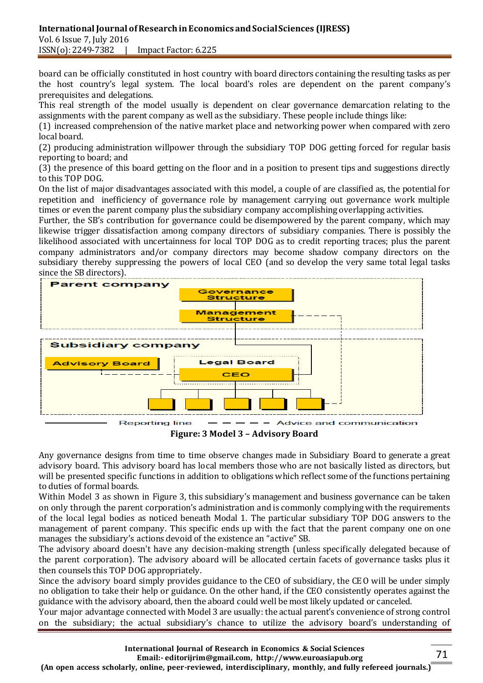#### **International Journal of Research in Economics and Social Sciences (IJRESS)** Vol. 6 Issue 7, July 2016 ISSN(o): 2249-7382 | Impact Factor: 6.225

board can be officially constituted in host country with board directors containing the resulting tasks as per the host country's legal system. The local board's roles are dependent on the parent company's prerequisites and delegations.

This real strength of the model usually is dependent on clear governance demarcation relating to the assignments with the parent company as well as the subsidiary. These people include things like:

(1) increased comprehension of the native market place and networking power when compared with zero local board.

(2) producing administration willpower through the subsidiary TOP DOG getting forced for regular basis reporting to board; and

(3) the presence of this board getting on the floor and in a position to present tips and suggestions directly to this TOP DOG.

On the list of major disadvantages associated with this model, a couple of are classified as, the potential for repetition and inefficiency of governance role by management carrying out governance work multiple times or even the parent company plus the subsidiary company accomplishing overlapping activities.

Further, the SB's contribution for governance could be disempowered by the parent company, which may likewise trigger dissatisfaction among company directors of subsidiary companies. There is possibly the likelihood associated with uncertainness for local TOP DOG as to credit reporting traces; plus the parent company administrators and/or company directors may become shadow company directors on the subsidiary thereby suppressing the powers of local CEO (and so develop the very same total legal tasks since the SB directors).



**Figure: 3 Model 3 – Advisory Board**

Any governance designs from time to time observe changes made in Subsidiary Board to generate a great advisory board. This advisory board has local members those who are not basically listed as directors, but will be presented specific functions in addition to obligations which reflect some of the functions pertaining to duties of formal boards.

Within Model 3 as shown in Figure 3, this subsidiary's management and business governance can be taken on only through the parent corporation's administration and is commonly complying with the requirements of the local legal bodies as noticed beneath Modal 1. The particular subsidiary TOP DOG answers to the management of parent company. This specific ends up with the fact that the parent company one on one manages the subsidiary's actions devoid of the existence an "active" SB.

The advisory aboard doesn't have any decision-making strength (unless specifically delegated because of the parent corporation). The advisory aboard will be allocated certain facets of governance tasks plus it then counsels this TOP DOG appropriately.

Since the advisory board simply provides guidance to the CEO of subsidiary, the CEO will be under simply no obligation to take their help or guidance. On the other hand, if the CEO consistently operates against the guidance with the advisory aboard, then the aboard could well be most likely updated or canceled.

Your major advantage connected with Model 3 are usually: the actual parent's convenience of strong control on the subsidiary; the actual subsidiary's chance to utilize the advisory board's understanding of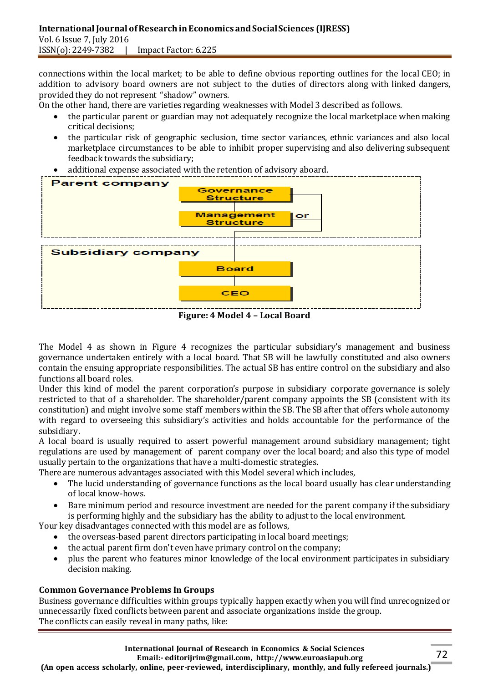connections within the local market; to be able to define obvious reporting outlines for the local CEO; in addition to advisory board owners are not subject to the duties of directors along with linked dangers, provided they do not represent "shadow" owners.

On the other hand, there are varieties regarding weaknesses with Model 3 described as follows.

- the particular parent or guardian may not adequately recognize the local marketplace when making critical decisions;
- the particular risk of geographic seclusion, time sector variances, ethnic variances and also local marketplace circumstances to be able to inhibit proper supervising and also delivering subsequent feedback towards the subsidiary;
- additional expense associated with the retention of advisory aboard.



**Figure: 4 Model 4 – Local Board**

The Model 4 as shown in Figure 4 recognizes the particular subsidiary's management and business governance undertaken entirely with a local board. That SB will be lawfully constituted and also owners contain the ensuing appropriate responsibilities. The actual SB has entire control on the subsidiary and also functions all board roles.

Under this kind of model the parent corporation's purpose in subsidiary corporate governance is solely restricted to that of a shareholder. The shareholder/parent company appoints the SB (consistent with its constitution) and might involve some staff members within the SB. The SB after that offers whole autonomy with regard to overseeing this subsidiary's activities and holds accountable for the performance of the subsidiary.

A local board is usually required to assert powerful management around subsidiary management; tight regulations are used by management of parent company over the local board; and also this type of model usually pertain to the organizations that have a multi-domestic strategies.

There are numerous advantages associated with this Model several which includes,

- The lucid understanding of governance functions as the local board usually has clear understanding of local know-hows.
- Bare minimum period and resource investment are needed for the parent company if the subsidiary is performing highly and the subsidiary has the ability to adjust to the local environment.

Your key disadvantages connected with this model are as follows,

- the overseas-based parent directors participating in local board meetings;
- the actual parent firm don't even have primary control on the company;
- plus the parent who features minor knowledge of the local environment participates in subsidiary decision making.

# **Common Governance Problems In Groups**

Business governance difficulties within groups typically happen exactly when you will find unrecognized or unnecessarily fixed conflicts between parent and associate organizations inside the group. The conflicts can easily reveal in many paths, like: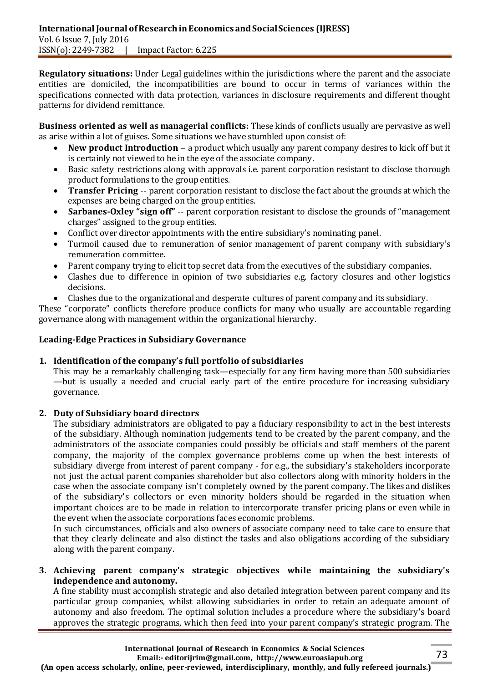**Regulatory situations:** Under Legal guidelines within the jurisdictions where the parent and the associate entities are domiciled, the incompatibilities are bound to occur in terms of variances within the specifications connected with data protection, variances in disclosure requirements and different thought patterns for dividend remittance.

**Business oriented as well as managerial conflicts:** These kinds of conflicts usually are pervasive as well as arise within a lot of guises. Some situations we have stumbled upon consist of:

- **New product Introduction** a product which usually any parent company desires to kick off but it is certainly not viewed to be in the eye of the associate company.
- Basic safety restrictions along with approvals i.e. parent corporation resistant to disclose thorough product formulations to the group entities.
- **Transfer Pricing** -- parent corporation resistant to disclose the fact about the grounds at which the expenses are being charged on the group entities.
- **Sarbanes-Oxley "sign off"** -- parent corporation resistant to disclose the grounds of "management charges" assigned to the group entities.
- Conflict over director appointments with the entire subsidiary's nominating panel.
- Turmoil caused due to remuneration of senior management of parent company with subsidiary's remuneration committee.
- Parent company trying to elicit top secret data from the executives of the subsidiary companies.
- Clashes due to difference in opinion of two subsidiaries e.g. factory closures and other logistics decisions.
- Clashes due to the organizational and desperate cultures of parent company and its subsidiary.

These "corporate" conflicts therefore produce conflicts for many who usually are accountable regarding governance along with management within the organizational hierarchy.

## **Leading-Edge Practices in Subsidiary Governance**

# **1. Identification of the company's full portfolio of subsidiaries**

This may be a remarkably challenging task—especially for any firm having more than 500 subsidiaries —but is usually a needed and crucial early part of the entire procedure for increasing subsidiary governance.

# **2. Duty of Subsidiary board directors**

The subsidiary administrators are obligated to pay a fiduciary responsibility to act in the best interests of the subsidiary. Although nomination judgements tend to be created by the parent company, and the administrators of the associate companies could possibly be officials and staff members of the parent company, the majority of the complex governance problems come up when the best interests of subsidiary diverge from interest of parent company - for e.g., the subsidiary's stakeholders incorporate not just the actual parent companies shareholder but also collectors along with minority holders in the case when the associate company isn't completely owned by the parent company. The likes and dislikes of the subsidiary's collectors or even minority holders should be regarded in the situation when important choices are to be made in relation to intercorporate transfer pricing plans or even while in the event when the associate corporations faces economic problems.

In such circumstances, officials and also owners of associate company need to take care to ensure that that they clearly delineate and also distinct the tasks and also obligations according of the subsidiary along with the parent company.

### **3. Achieving parent company's strategic objectives while maintaining the subsidiary's independence and autonomy.**

A fine stability must accomplish strategic and also detailed integration between parent company and its particular group companies, whilst allowing subsidiaries in order to retain an adequate amount of autonomy and also freedom. The optimal solution includes a procedure where the subsidiary's board approves the strategic programs, which then feed into your parent company's strategic program. The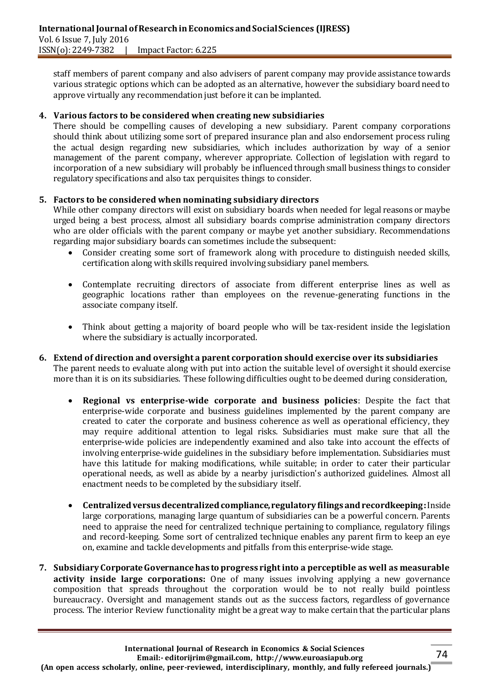staff members of parent company and also advisers of parent company may provide assistance towards various strategic options which can be adopted as an alternative, however the subsidiary board need to approve virtually any recommendation just before it can be implanted.

### **4. Various factors to be considered when creating new subsidiaries**

There should be compelling causes of developing a new subsidiary. Parent company corporations should think about utilizing some sort of prepared insurance plan and also endorsement process ruling the actual design regarding new subsidiaries, which includes authorization by way of a senior management of the parent company, wherever appropriate. Collection of legislation with regard to incorporation of a new subsidiary will probably be influenced through small business things to consider regulatory specifications and also tax perquisites things to consider.

### **5. Factors to be considered when nominating subsidiary directors**

While other company directors will exist on subsidiary boards when needed for legal reasons or maybe urged being a best process, almost all subsidiary boards comprise administration company directors who are older officials with the parent company or maybe yet another subsidiary. Recommendations regarding major subsidiary boards can sometimes include the subsequent:

- Consider creating some sort of framework along with procedure to distinguish needed skills, certification along with skills required involving subsidiary panel members.
- Contemplate recruiting directors of associate from different enterprise lines as well as geographic locations rather than employees on the revenue-generating functions in the associate company itself.
- Think about getting a majority of board people who will be tax-resident inside the legislation where the subsidiary is actually incorporated.
- **6. Extend of direction and oversight a parent corporation should exercise over its subsidiaries** The parent needs to evaluate along with put into action the suitable level of oversight it should exercise more than it is on its subsidiaries. These following difficulties ought to be deemed during consideration,
	- **Regional vs enterprise-wide corporate and business policies**: Despite the fact that enterprise-wide corporate and business guidelines implemented by the parent company are created to cater the corporate and business coherence as well as operational efficiency, they may require additional attention to legal risks. Subsidiaries must make sure that all the enterprise-wide policies are independently examined and also take into account the effects of involving enterprise-wide guidelines in the subsidiary before implementation. Subsidiaries must have this latitude for making modifications, while suitable; in order to cater their particular operational needs, as well as abide by a nearby jurisdiction's authorized guidelines. Almost all enactment needs to be completed by the subsidiary itself.
	- **Centralized versus decentralized compliance, regulatory filings and recordkeeping:** Inside large corporations, managing large quantum of subsidiaries can be a powerful concern. Parents need to appraise the need for centralized technique pertaining to compliance, regulatory filings and record-keeping. Some sort of centralized technique enables any parent firm to keep an eye on, examine and tackle developments and pitfalls from this enterprise-wide stage.
- **7. Subsidiary Corporate Governance has to progress right into a perceptible as well as measurable activity inside large corporations:** One of many issues involving applying a new governance composition that spreads throughout the corporation would be to not really build pointless bureaucracy. Oversight and management stands out as the success factors, regardless of governance process. The interior Review functionality might be a great way to make certain that the particular plans